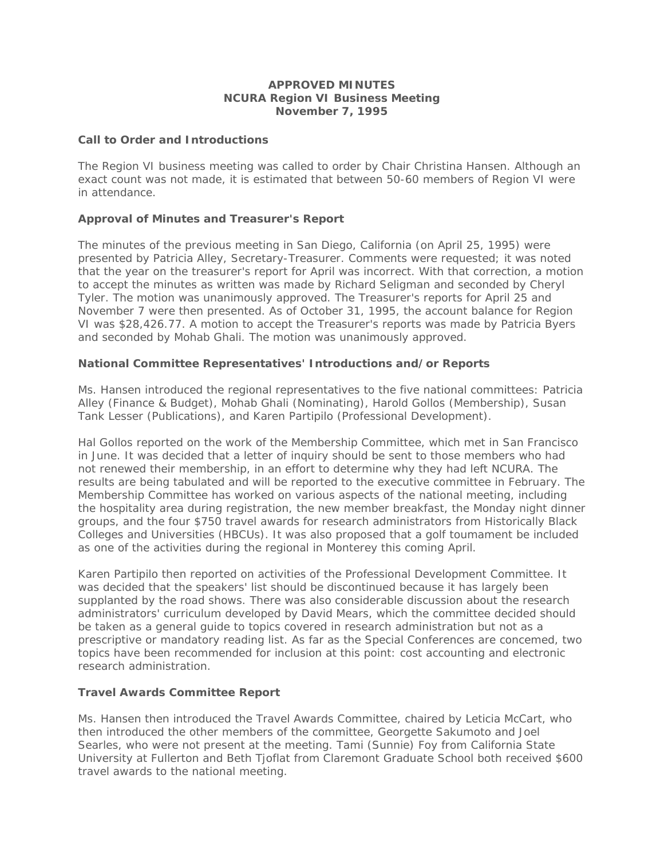# **APPROVED MINUTES NCURA Region VI Business Meeting November 7, 1995**

# **Call to Order and Introductions**

The Region VI business meeting was called to order by Chair Christina Hansen. Although an exact count was not made, it is estimated that between 50-60 members of Region VI were in attendance.

# **Approval of Minutes and Treasurer's Report**

The minutes of the previous meeting in San Diego, California (on April 25, 1995) were presented by Patricia Alley, Secretary-Treasurer. Comments were requested; it was noted that the year on the treasurer's report for April was incorrect. With that correction, a motion to accept the minutes as written was made by Richard Seligman and seconded by Cheryl Tyler. The motion was unanimously approved. The Treasurer's reports for April 25 and November 7 were then presented. As of October 31, 1995, the account balance for Region VI was \$28,426.77. A motion to accept the Treasurer's reports was made by Patricia Byers and seconded by Mohab Ghali. The motion was unanimously approved.

# **National Committee Representatives' Introductions and/or Reports**

Ms. Hansen introduced the regional representatives to the five national committees: Patricia Alley (Finance & Budget), Mohab Ghali (Nominating), Harold Gollos (Membership), Susan Tank Lesser (Publications), and Karen Partipilo (Professional Development).

Hal Gollos reported on the work of the Membership Committee, which met in San Francisco in June. It was decided that a letter of inquiry should be sent to those members who had not renewed their membership, in an effort to determine why they had left NCURA. The results are being tabulated and will be reported to the executive committee in February. The Membership Committee has worked on various aspects of the national meeting, including the hospitality area during registration, the new member breakfast, the Monday night dinner groups, and the four \$750 travel awards for research administrators from Historically Black Colleges and Universities (HBCUs). It was also proposed that a golf toumament be included as one of the activities during the regional in Monterey this coming April.

Karen Partipilo then reported on activities of the Professional Development Committee. It was decided that the speakers' list should be discontinued because it has largely been supplanted by the road shows. There was also considerable discussion about the research administrators' curriculum developed by David Mears, which the committee decided should be taken as a general guide to topics covered in research administration but not as a prescriptive or mandatory reading list. As far as the Special Conferences are concemed, two topics have been recommended for inclusion at this point: cost accounting and electronic research administration.

# **Travel Awards Committee Report**

Ms. Hansen then introduced the Travel Awards Committee, chaired by Leticia McCart, who then introduced the other members of the committee, Georgette Sakumoto and Joel Searles, who were not present at the meeting. Tami (Sunnie) Foy from California State University at Fullerton and Beth Tjoflat from Claremont Graduate School both received \$600 travel awards to the national meeting.